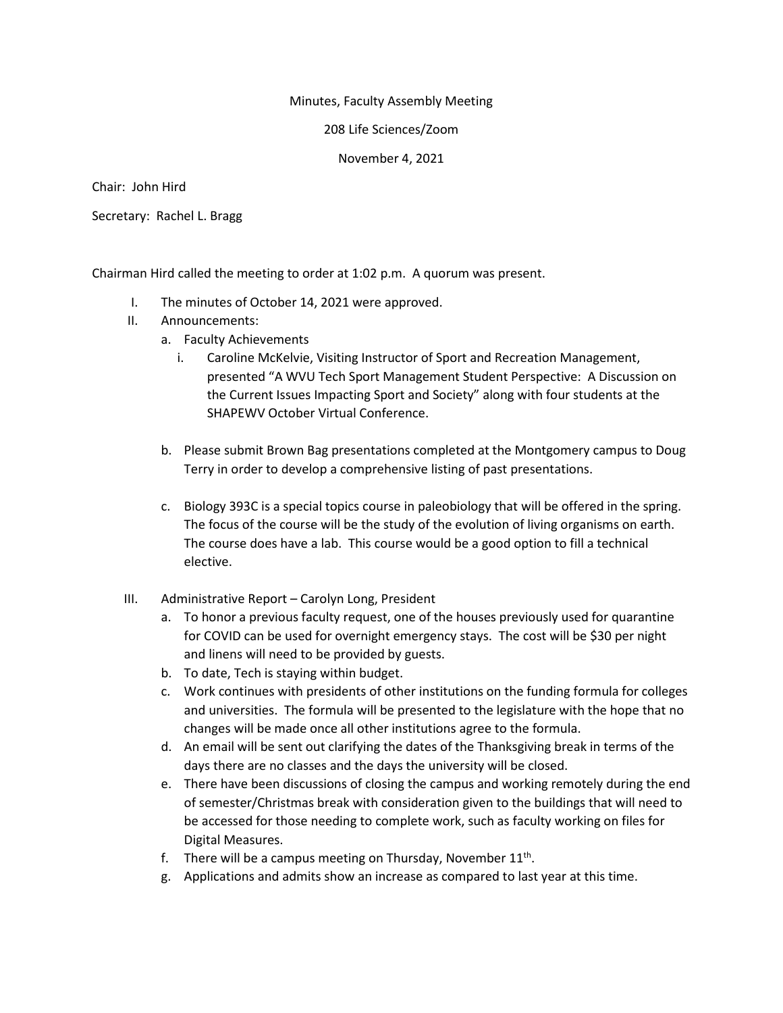## Minutes, Faculty Assembly Meeting

208 Life Sciences/Zoom

November 4, 2021

Chair: John Hird

Secretary: Rachel L. Bragg

Chairman Hird called the meeting to order at 1:02 p.m. A quorum was present.

- I. The minutes of October 14, 2021 were approved.
- II. Announcements:
	- a. Faculty Achievements
		- i. Caroline McKelvie, Visiting Instructor of Sport and Recreation Management, presented "A WVU Tech Sport Management Student Perspective: A Discussion on the Current Issues Impacting Sport and Society" along with four students at the SHAPEWV October Virtual Conference.
	- b. Please submit Brown Bag presentations completed at the Montgomery campus to Doug Terry in order to develop a comprehensive listing of past presentations.
	- c. Biology 393C is a special topics course in paleobiology that will be offered in the spring. The focus of the course will be the study of the evolution of living organisms on earth. The course does have a lab. This course would be a good option to fill a technical elective.
- III. Administrative Report Carolyn Long, President
	- a. To honor a previous faculty request, one of the houses previously used for quarantine for COVID can be used for overnight emergency stays. The cost will be \$30 per night and linens will need to be provided by guests.
	- b. To date, Tech is staying within budget.
	- c. Work continues with presidents of other institutions on the funding formula for colleges and universities. The formula will be presented to the legislature with the hope that no changes will be made once all other institutions agree to the formula.
	- d. An email will be sent out clarifying the dates of the Thanksgiving break in terms of the days there are no classes and the days the university will be closed.
	- e. There have been discussions of closing the campus and working remotely during the end of semester/Christmas break with consideration given to the buildings that will need to be accessed for those needing to complete work, such as faculty working on files for Digital Measures.
	- f. There will be a campus meeting on Thursday, November  $11<sup>th</sup>$ .
	- g. Applications and admits show an increase as compared to last year at this time.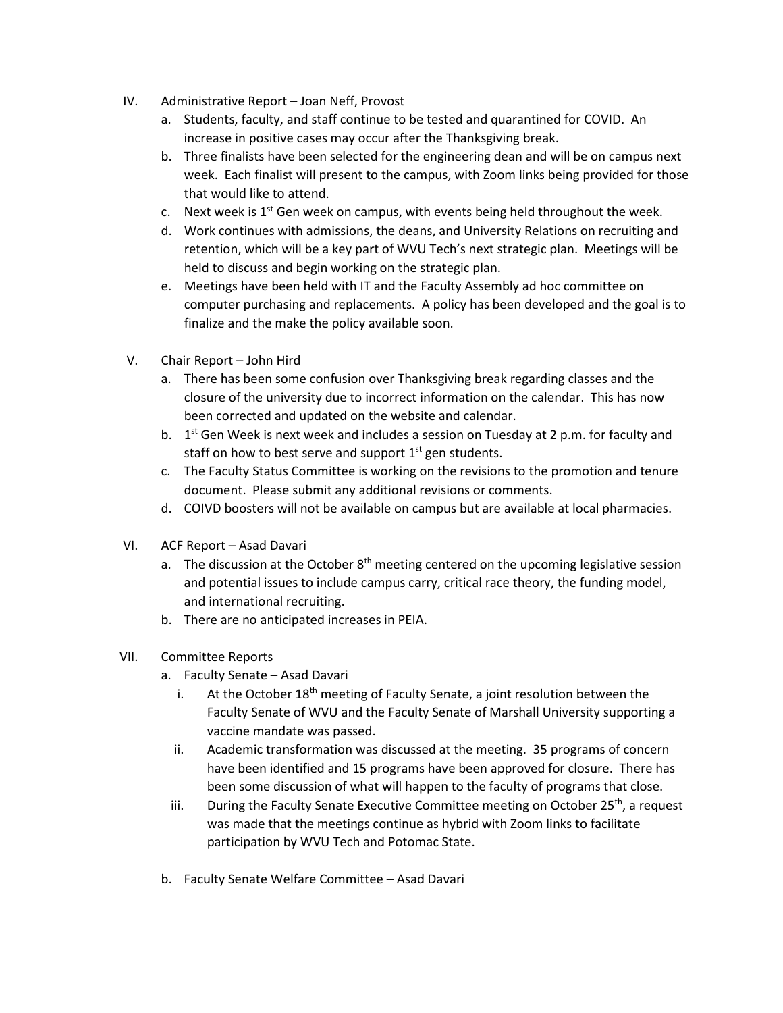- IV. Administrative Report Joan Neff, Provost
	- a. Students, faculty, and staff continue to be tested and quarantined for COVID. An increase in positive cases may occur after the Thanksgiving break.
	- b. Three finalists have been selected for the engineering dean and will be on campus next week. Each finalist will present to the campus, with Zoom links being provided for those that would like to attend.
	- c. Next week is  $1<sup>st</sup>$  Gen week on campus, with events being held throughout the week.
	- d. Work continues with admissions, the deans, and University Relations on recruiting and retention, which will be a key part of WVU Tech's next strategic plan. Meetings will be held to discuss and begin working on the strategic plan.
	- e. Meetings have been held with IT and the Faculty Assembly ad hoc committee on computer purchasing and replacements. A policy has been developed and the goal is to finalize and the make the policy available soon.
- V. Chair Report John Hird
	- a. There has been some confusion over Thanksgiving break regarding classes and the closure of the university due to incorrect information on the calendar. This has now been corrected and updated on the website and calendar.
	- b.  $1<sup>st</sup>$  Gen Week is next week and includes a session on Tuesday at 2 p.m. for faculty and staff on how to best serve and support  $1<sup>st</sup>$  gen students.
	- c. The Faculty Status Committee is working on the revisions to the promotion and tenure document. Please submit any additional revisions or comments.
	- d. COIVD boosters will not be available on campus but are available at local pharmacies.
- VI. ACF Report Asad Davari
	- a. The discussion at the October  $8<sup>th</sup>$  meeting centered on the upcoming legislative session and potential issues to include campus carry, critical race theory, the funding model, and international recruiting.
	- b. There are no anticipated increases in PEIA.
- VII. Committee Reports
	- a. Faculty Senate Asad Davari
		- i. At the October  $18<sup>th</sup>$  meeting of Faculty Senate, a joint resolution between the Faculty Senate of WVU and the Faculty Senate of Marshall University supporting a vaccine mandate was passed.
		- ii. Academic transformation was discussed at the meeting. 35 programs of concern have been identified and 15 programs have been approved for closure. There has been some discussion of what will happen to the faculty of programs that close.
		- iii. During the Faculty Senate Executive Committee meeting on October  $25<sup>th</sup>$ , a request was made that the meetings continue as hybrid with Zoom links to facilitate participation by WVU Tech and Potomac State.
	- b. Faculty Senate Welfare Committee Asad Davari